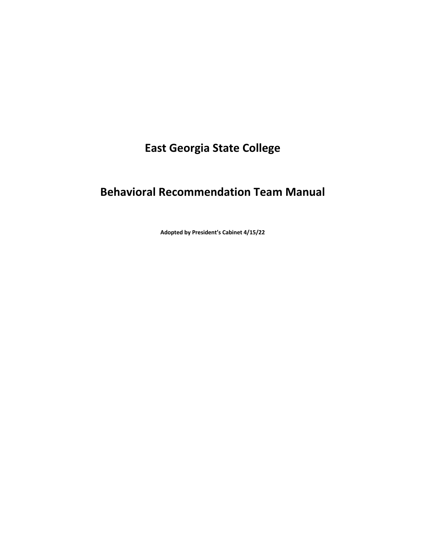# **East Georgia State College**

## **Behavioral Recommendation Team Manual**

**Adopted by President's Cabinet 4/15/22**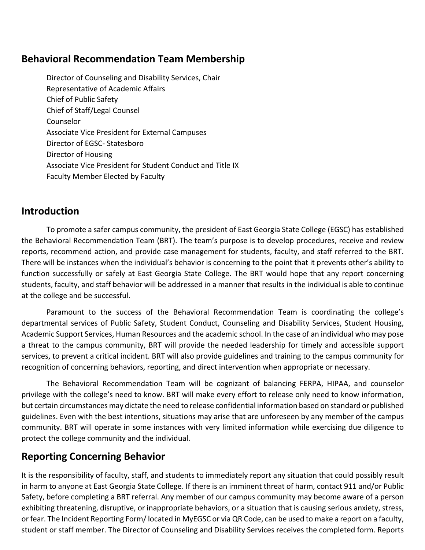#### **Behavioral Recommendation Team Membership**

Director of Counseling and Disability Services, Chair Representative of Academic Affairs Chief of Public Safety Chief of Staff/Legal Counsel Counselor Associate Vice President for External Campuses Director of EGSC- Statesboro Director of Housing Associate Vice President for Student Conduct and Title IX Faculty Member Elected by Faculty

#### **Introduction**

To promote a safer campus community, the president of East Georgia State College (EGSC) has established the Behavioral Recommendation Team (BRT). The team's purpose is to develop procedures, receive and review reports, recommend action, and provide case management for students, faculty, and staff referred to the BRT. There will be instances when the individual's behavior is concerning to the point that it prevents other's ability to function successfully or safely at East Georgia State College. The BRT would hope that any report concerning students, faculty, and staff behavior will be addressed in a manner that results in the individual is able to continue at the college and be successful.

Paramount to the success of the Behavioral Recommendation Team is coordinating the college's departmental services of Public Safety, Student Conduct, Counseling and Disability Services, Student Housing, Academic Support Services, Human Resources and the academic school. In the case of an individual who may pose a threat to the campus community, BRT will provide the needed leadership for timely and accessible support services, to prevent a critical incident. BRT will also provide guidelines and training to the campus community for recognition of concerning behaviors, reporting, and direct intervention when appropriate or necessary.

The Behavioral Recommendation Team will be cognizant of balancing FERPA, HIPAA, and counselor privilege with the college's need to know. BRT will make every effort to release only need to know information, but certain circumstances may dictate the need to release confidential information based on standard or published guidelines. Even with the best intentions, situations may arise that are unforeseen by any member of the campus community. BRT will operate in some instances with very limited information while exercising due diligence to protect the college community and the individual.

#### **Reporting Concerning Behavior**

It is the responsibility of faculty, staff, and students to immediately report any situation that could possibly result in harm to anyone at East Georgia State College. If there is an imminent threat of harm, contact 911 and/or Public Safety, before completing a BRT referral. Any member of our campus community may become aware of a person exhibiting threatening, disruptive, or inappropriate behaviors, or a situation that is causing serious anxiety, stress, or fear. The Incident Reporting Form/ located in MyEGSC or via QR Code, can be used to make a report on a faculty, student or staff member. The Director of Counseling and Disability Services receives the completed form. Reports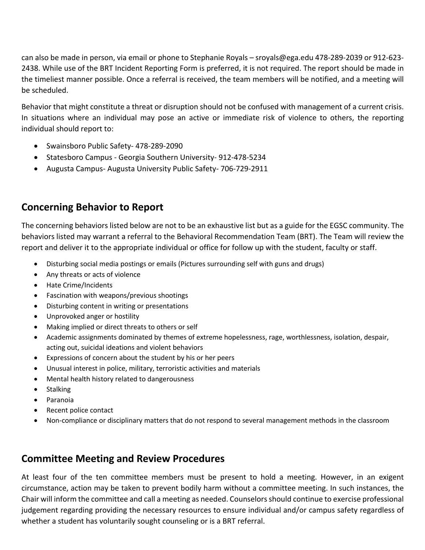can also be made in person, via email or phone to Stephanie Royals – sroyals@ega.edu 478-289-2039 or 912-623- 2438. While use of the BRT Incident Reporting Form is preferred, it is not required. The report should be made in the timeliest manner possible. Once a referral is received, the team members will be notified, and a meeting will be scheduled.

Behavior that might constitute a threat or disruption should not be confused with management of a current crisis. In situations where an individual may pose an active or immediate risk of violence to others, the reporting individual should report to:

- Swainsboro Public Safety- 478-289-2090
- Statesboro Campus Georgia Southern University- 912-478-5234
- Augusta Campus- Augusta University Public Safety- 706-729-2911

### **Concerning Behavior to Report**

The concerning behaviors listed below are not to be an exhaustive list but as a guide for the EGSC community. The behaviors listed may warrant a referral to the Behavioral Recommendation Team (BRT). The Team will review the report and deliver it to the appropriate individual or office for follow up with the student, faculty or staff.

- Disturbing social media postings or emails (Pictures surrounding self with guns and drugs)
- Any threats or acts of violence
- Hate Crime/Incidents
- Fascination with weapons/previous shootings
- Disturbing content in writing or presentations
- Unprovoked anger or hostility
- Making implied or direct threats to others or self
- Academic assignments dominated by themes of extreme hopelessness, rage, worthlessness, isolation, despair, acting out, suicidal ideations and violent behaviors
- Expressions of concern about the student by his or her peers
- Unusual interest in police, military, terroristic activities and materials
- Mental health history related to dangerousness
- **Stalking**
- Paranoia
- Recent police contact
- Non-compliance or disciplinary matters that do not respond to several management methods in the classroom

#### **Committee Meeting and Review Procedures**

At least four of the ten committee members must be present to hold a meeting. However, in an exigent circumstance, action may be taken to prevent bodily harm without a committee meeting. In such instances, the Chair will inform the committee and call a meeting as needed. Counselors should continue to exercise professional judgement regarding providing the necessary resources to ensure individual and/or campus safety regardless of whether a student has voluntarily sought counseling or is a BRT referral.